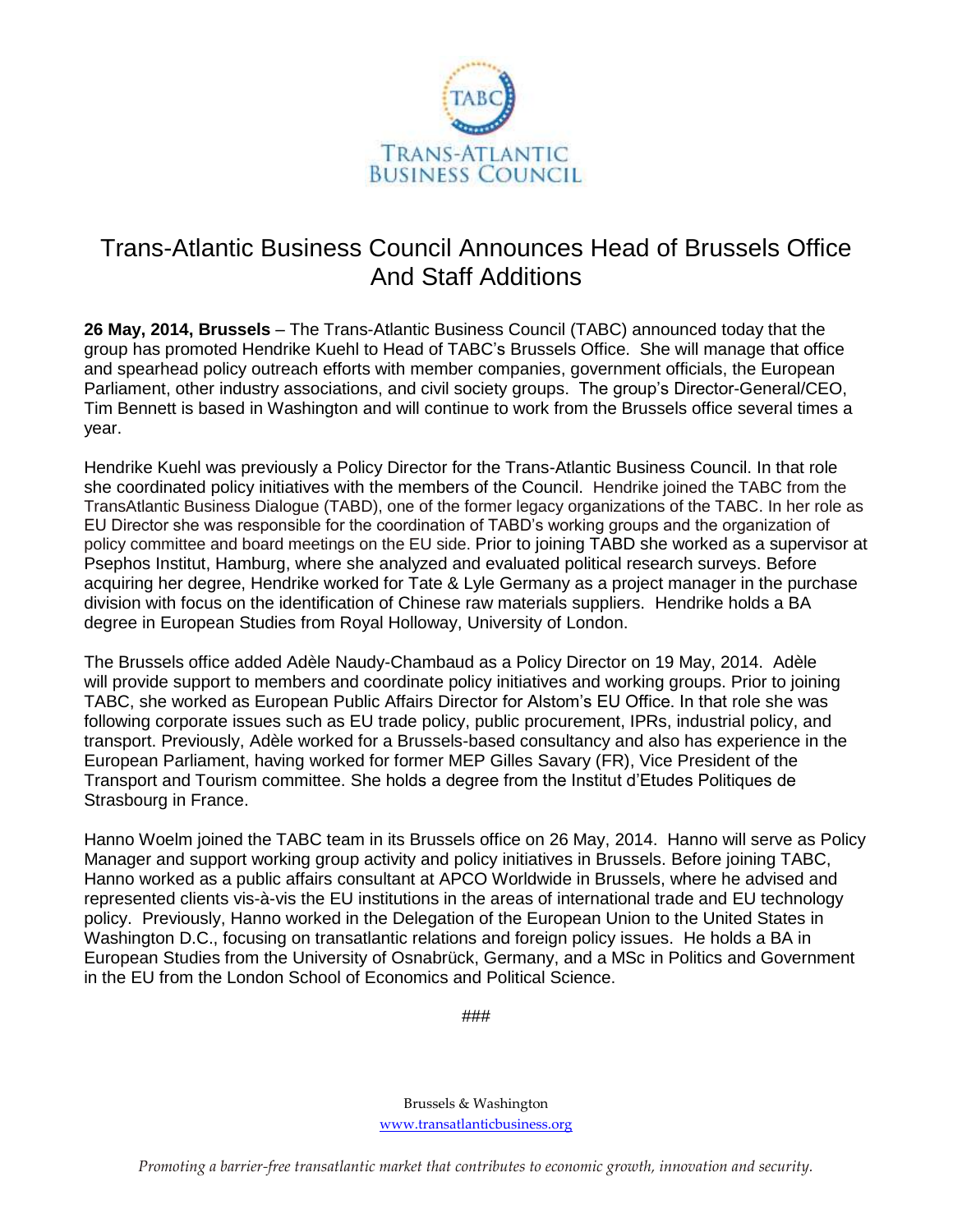

## Trans-Atlantic Business Council Announces Head of Brussels Office And Staff Additions

**26 May, 2014, Brussels** – The Trans-Atlantic Business Council (TABC) announced today that the group has promoted Hendrike Kuehl to Head of TABC's Brussels Office. She will manage that office and spearhead policy outreach efforts with member companies, government officials, the European Parliament, other industry associations, and civil society groups. The group's Director-General/CEO, Tim Bennett is based in Washington and will continue to work from the Brussels office several times a year.

Hendrike Kuehl was previously a Policy Director for the Trans-Atlantic Business Council. In that role she coordinated policy initiatives with the members of the Council. Hendrike joined the TABC from the TransAtlantic Business Dialogue (TABD), one of the former legacy organizations of the TABC. In her role as EU Director she was responsible for the coordination of TABD's working groups and the organization of policy committee and board meetings on the EU side. Prior to joining TABD she worked as a supervisor at Psephos Institut, Hamburg, where she analyzed and evaluated political research surveys. Before acquiring her degree, Hendrike worked for Tate & Lyle Germany as a project manager in the purchase division with focus on the identification of Chinese raw materials suppliers. Hendrike holds a BA degree in European Studies from Royal Holloway, University of London.

The Brussels office added Adèle Naudy-Chambaud as a Policy Director on 19 May, 2014. Adèle will provide support to members and coordinate policy initiatives and working groups. Prior to joining TABC, she worked as European Public Affairs Director for Alstom's EU Office. In that role she was following corporate issues such as EU trade policy, public procurement, IPRs, industrial policy, and transport. Previously, Adèle worked for a Brussels-based consultancy and also has experience in the European Parliament, having worked for former MEP Gilles Savary (FR), Vice President of the Transport and Tourism committee. She holds a degree from the Institut d'Etudes Politiques de Strasbourg in France.

Hanno Woelm joined the TABC team in its Brussels office on 26 May, 2014. Hanno will serve as Policy Manager and support working group activity and policy initiatives in Brussels. Before joining TABC, Hanno worked as a public affairs consultant at APCO Worldwide in Brussels, where he advised and represented clients vis-à-vis the EU institutions in the areas of international trade and EU technology policy. Previously, Hanno worked in the Delegation of the European Union to the United States in Washington D.C., focusing on transatlantic relations and foreign policy issues. He holds a BA in European Studies from the University of Osnabrück, Germany, and a MSc in Politics and Government in the EU from the London School of Economics and Political Science.

###

Brussels & Washington [www.transatlanticbusiness.org](http://www.transatlanticbusiness.org/)